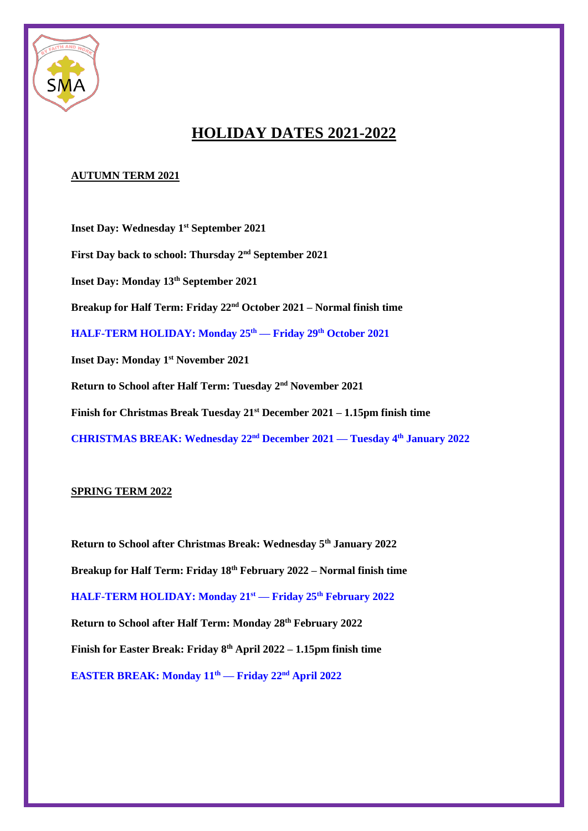

## **HOLIDAY DATES 2021-2022**

## **AUTUMN TERM 2021**

**Inset Day: Wednesday 1st September 2021 First Day back to school: Thursday 2nd September 2021 Inset Day: Monday 13th September 2021 Breakup for Half Term: Friday 22nd October 2021 – Normal finish time HALF-TERM HOLIDAY: Monday 25th — Friday 29th October 2021 Inset Day: Monday 1st November 2021 Return to School after Half Term: Tuesday 2nd November 2021 Finish for Christmas Break Tuesday 21st December 2021 – 1.15pm finish time CHRISTMAS BREAK: Wednesday 22nd December 2021 — Tuesday 4th January 2022**

## **SPRING TERM 2022**

**Return to School after Christmas Break: Wednesday 5th January 2022 Breakup for Half Term: Friday 18th February 2022 – Normal finish time HALF-TERM HOLIDAY: Monday 21st — Friday 25th February 2022 Return to School after Half Term: Monday 28th February 2022 Finish for Easter Break: Friday 8th April 2022 – 1.15pm finish time EASTER BREAK: Monday 11th — Friday 22nd April 2022**